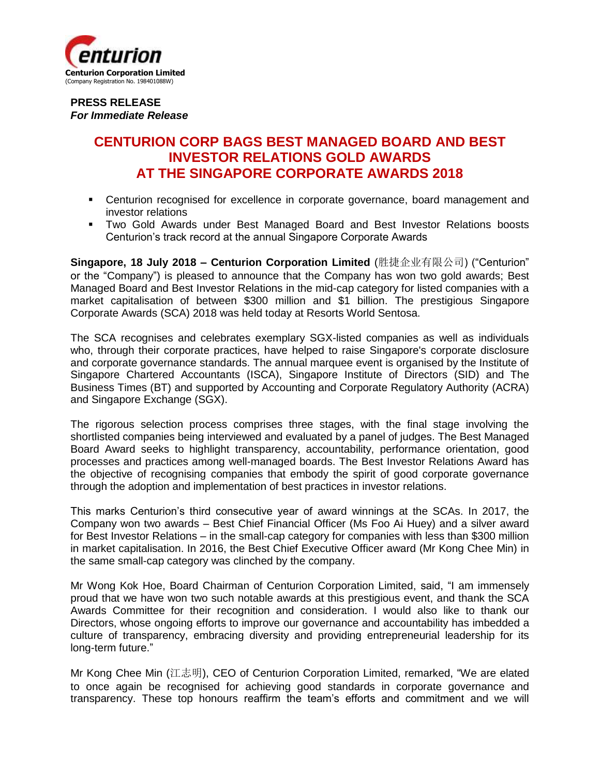

**PRESS RELEASE** *For Immediate Release*

## **CENTURION CORP BAGS BEST MANAGED BOARD AND BEST INVESTOR RELATIONS GOLD AWARDS AT THE SINGAPORE CORPORATE AWARDS 2018**

- Centurion recognised for excellence in corporate governance, board management and investor relations
- Two Gold Awards under Best Managed Board and Best Investor Relations boosts Centurion's track record at the annual Singapore Corporate Awards

**Singapore, 18 July 2018 ‒ Centurion Corporation Limited** (胜捷企业有限公司) ("Centurion" or the "Company") is pleased to announce that the Company has won two gold awards; Best Managed Board and Best Investor Relations in the mid-cap category for listed companies with a market capitalisation of between \$300 million and \$1 billion. The prestigious Singapore Corporate Awards (SCA) 2018 was held today at Resorts World Sentosa.

The SCA recognises and celebrates exemplary SGX-listed companies as well as individuals who, through their corporate practices, have helped to raise Singapore's corporate disclosure and corporate governance standards. The annual marquee event is organised by the Institute of Singapore Chartered Accountants (ISCA), Singapore Institute of Directors (SID) and The Business Times (BT) and supported by Accounting and Corporate Regulatory Authority (ACRA) and Singapore Exchange (SGX).

The rigorous selection process comprises three stages, with the final stage involving the shortlisted companies being interviewed and evaluated by a panel of judges. The Best Managed Board Award seeks to highlight transparency, accountability, performance orientation, good processes and practices among well-managed boards. The Best Investor Relations Award has the objective of recognising companies that embody the spirit of good corporate governance through the adoption and implementation of best practices in investor relations.

This marks Centurion's third consecutive year of award winnings at the SCAs. In 2017, the Company won two awards – Best Chief Financial Officer (Ms Foo Ai Huey) and a silver award for Best Investor Relations – in the small-cap category for companies with less than \$300 million in market capitalisation. In 2016, the Best Chief Executive Officer award (Mr Kong Chee Min) in the same small-cap category was clinched by the company.

Mr Wong Kok Hoe, Board Chairman of Centurion Corporation Limited, said, "I am immensely proud that we have won two such notable awards at this prestigious event, and thank the SCA Awards Committee for their recognition and consideration. I would also like to thank our Directors, whose ongoing efforts to improve our governance and accountability has imbedded a culture of transparency, embracing diversity and providing entrepreneurial leadership for its long-term future."

Mr Kong Chee Min (江志明), CEO of Centurion Corporation Limited, remarked, "We are elated to once again be recognised for achieving good standards in corporate governance and transparency. These top honours reaffirm the team's efforts and commitment and we will